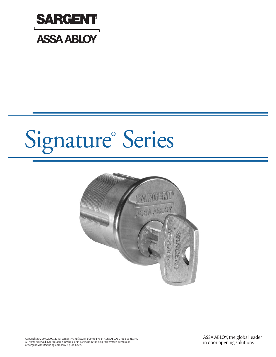



Copyright © 2007, 2009, 2010, Sargent Manufacturing Company, an ASSA ABLOY Group company.<br>All rights reserved. Reproduction in whole or in part without the express written permission<br>of Sargent Manufacturing Company is pr

ASSA ABLOY, the global leader in door opening solutions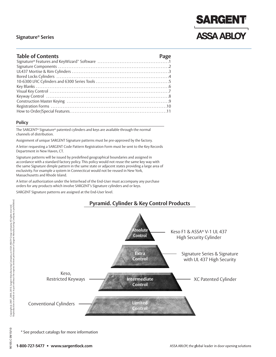## **SARGENT ASSA ABLOY**

#### **Table of Contents Page**

#### **Policy**

The SARGENT® Signature® patented cylinders and keys are available through the normal channels of distribution.

Assignment of unique SARGENT Signature patterns must be pre-approved by the factory.

A letter requesting a SARGENT Code Pattern Registration Form must be sent to the Key Records Department in New Haven, CT.

Signature patterns will be issued by predefined geographical boundaries and assigned in accordance with a standard factory policy. This policy would not reuse the same key way with the same Signature dimple pattern in the same state or adjacent states providing a large area of exclusivity. For example a system in Connecticut would not be reused in New York, Massachusetts and Rhode Island.

A letter of authorization under the letterhead of the End-User must accompany any purchase orders for any products which involve SARGENT's Signature cylinders and or keys.

SARGENT Signature patterns are assigned at the End-User level.

## **Pyramid. Cylinder & Key Control Products**



90105:C09/15/10

\* See product catalogs for more information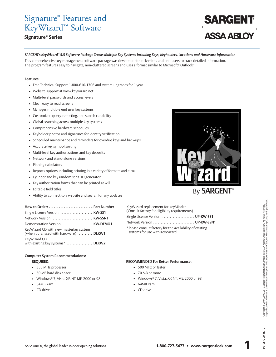## Signature ® Features and KeyWizard™ Software

#### **Signature® Series**

# **ASSA ABLOY**

#### SARGENT's KeyWizard" 5.5 Software Package Tracks Multiple Key Systems Including Keys, Keyholders, Locations and Hardware Information

This comprehensive key management software package was developed for locksmiths and end-users to track detailed information. The program features easy to navigate, non-cluttered screens and uses a format similar to Microsoft® Outlook™.

#### **Features:**

- Free Technical Support 1-800-610-1706 and system upgrades for 1 year
- Website support at www.keywizard.net
- Multi-level passwords and access levels
- Clear, easy to read screens
- Manages multiple end user key systems
- Customized query, reporting, and search capability
- Global searching across multiple key systems
- Comprehensive hardware schedules
- Keyholder photos and signatures for identity verification
- Scheduled maintenance and reminders for overdue keys and back-ups
- Accurate key symbol sorting
- Multi-level key authorizations and key deposits
- Network and stand-alone versions
- Pinning calculators
- Reports options including printing in a variety of formats and e-mail
- Cylinder and key random serial ID generator
- Key authorization forms that can be printed at will

How to Order: ...............................Part Number Single License Version . . . . . . . . . . . . . . . . . . . . . .**KW-SS1** Network Version . . . . . . . . . . . . . . . . . . . . . . . . . . . .**KW-SSN1** Demonstration Version . . . . . . . . . . . . . . . . . . . . .**KW-DEMO1**

- Editable field titles
- Ability to connect to a website and search for any updates

| '® |
|----|

| By <b>SARGENT</b> ® |
|---------------------|
|---------------------|

| KeyWizard replacement for KeyMinder<br>(Consult factory for eligibility requirements)        |  |
|----------------------------------------------------------------------------------------------|--|
|                                                                                              |  |
|                                                                                              |  |
| * Please consult factory for the availability of existing<br>systems for use with KeyWizard. |  |

#### **Computer System Recommendations:**

KeyWizard CD with new masterkey system (when purchased with hardware) . . . . . . . . . .**DLKW1**

#### **REQUIRED:**

KeyWizard CD

- 350 MHz processor
- 60 MB hard disk space
- Windows® 7, Vista, XP, NT, ME, 2000 or 98

with existing key systems\* . . . . . . . . . . . . . . . . . .**DLKW2**

- 64MB Ram
- CD drive

#### **RECOMMENDED For Better Performance:**

- 500 MHz or faster
- 70 MB or more
- Windows® 7, Vista, XP, NT, ME, 2000 or 98
- 64MB Ram
- CD drive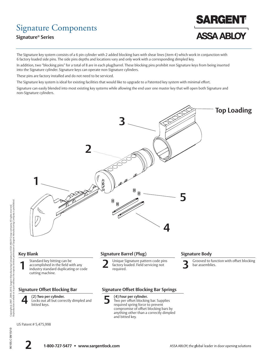## Signature Components

### **Signature® Series**



The Signature key system consists of a 6 pin cylinder with 2 added blocking bars with shear lines (item 4) which work in conjunction with 6 factory loaded side pins. The side pins depths and locations vary and only work with a corresponding dimpled key.

In addition, two "blocking pins" for a total of 8 are in each plug/barrel. These blocking pins prohibit non Signature keys from being inserted into the Signature cylinder. Signature keys can operate non-Signature cylinders.

These pins are factory installed and do not need to be serviced.

The Signature key system is ideal for existing facilities that would like to upgrade to a Patented key system with minimal effort.

Signature can easily blended into most existing key systems while allowing the end user one master key that will open both Signature and non-Signature cylinders.



90105:C 09/15/10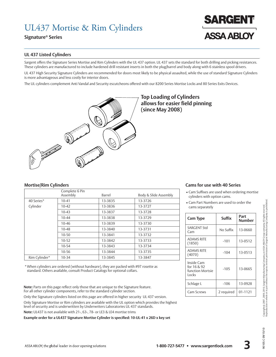## UL437 Mortise & Rim Cylinders

#### **Signature® Series**

# **ASSA ABLO**

#### **UL 437 Listed Cylinders**

Sargent offers the Signature Series Mortise and Rim Cylinders with the UL 437 option. UL 437 sets the standard for both drilling and picking resistances. These cylinders are manufactured to include hardened drill resistant inserts in both the plug/barrel and body along with 6 stainless spool drivers.

UL 437 High Security Signature Cylinders are recommended for doors most likely to be physical assaulted, while the use of standard Signature Cylinders is more advantageous and less costly for interior doors.

The UL cylinders complement Anti Vandal and Security escutcheons offered with our 8200 Series Mortise Locks and 80 Series Exits Devices.



### **Top Loading of Cylinders allows for easier field pinning (since May 2008)**

|               | Complete 6 Pin<br>Assembly | Barrel  | Body & Slide Assembly |
|---------------|----------------------------|---------|-----------------------|
| 40 Series*    | $10 - 41$                  | 13-3835 | 13-3726               |
| Cylinder      | $10 - 42$                  | 13-3836 | 13-3727               |
|               | $10-43$                    | 13-3837 | 13-3728               |
|               | $10 - 44$                  | 13-3838 | 13-3729               |
|               | 10-46                      | 13-3839 | 13-3730               |
|               | $10 - 48$                  | 13-3840 | 13-3731               |
|               | $10 - 50$                  | 13-3841 | 13-3732               |
|               | $10 - 52$                  | 13-3842 | 13-3733               |
|               | $10 - 54$                  | 13-3843 | 13-3734               |
|               | 10-56                      | 13-3844 | 13-3735               |
| Rim Cylinder* | $10 - 34$                  | 13-3845 | 13-3847               |

\* When cylinders are ordered (without hardware), they are packed with #97 rosette as standard. Others available, consult Product Catalogs for optional collars.

**Note:** Parts on this page reflect only those that are unique to the Signature feature. For all other cylinder components, refer to the standard cylinder section.

Only the Signature cylinders listed on this page are offered in higher security UL 437 version. Only Signature Mortise or Rim cylinders are available with the UL option which provides the highest level of security and is underwritten by Underwriters Laboratories UL 437 standards.

**Note:** UL437 is not available with 21-, 63-, 78- or LE3 & LE4 mortise trims

ASSA ABLOY, the global leader in door opening solutions

**Example order for a UL437 Signature Mortise Cylinder is specified: 10-UL-41 x 26D x key set**

#### **Mortise/Rim Cylinders Cams for use with 40 Series**

- Cam Suffixes are used when ordering mortise cylinders with option cams.
- Cam Part Numbers are used to order the cams separately

| <b>Cam Type</b>                                        | Suffix     | Part<br>Number |
|--------------------------------------------------------|------------|----------------|
| <b>SARGENT Std</b><br>Cam                              | No Suffix  | 13-0660        |
| <b>ADAMS RITE</b><br>(1850)                            | $-101$     | 13-0512        |
| <b>ADAMS RITE</b><br>(4070)                            | $-104$     | 13-0513        |
| Inside Cam<br>for 16 & 92<br>function Mortsie<br>Locks | $-105$     | 13-0665        |
| Schlage L                                              | $-106$     | 13-0928        |
| Cam Screws                                             | 2 required | 01-1121        |

01/21/60 D:50106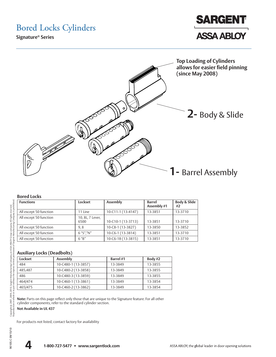## Bored Locks Cylinders

**Signature® Series**





#### **Bored Locks**

| .                      |                          |                    |                              |                    |
|------------------------|--------------------------|--------------------|------------------------------|--------------------|
| <b>Functions</b>       | Lockset                  | Assembly           | <b>Barrel</b><br>Assembly #1 | Body & Slide<br>#2 |
| All except 50 function | 11 Line                  | 10-C11-1 (13-4147) | 13-3851                      | 13-3710            |
| All except 50 function | 10, 8L, 7 Lever,<br>6500 | 10-C10-1 (13-3713) | 13-3851                      | 13-3710            |
| All except 50 function | 9.8                      | 10-C8-1 (13-3827)  | 13-3850                      | 13-3852            |
| All except 50 function | 6 "S"."N"                | 10-C6-1 (13-3814)  | 13-3851                      | 13-3710            |
| All except 50 function | $6$ " $B$ "              | 10-C6-1B (13-3815) | 13-3851                      | 13-3710            |
|                        |                          |                    |                              |                    |

#### **Auxiliary Locks (Deadbolts)**

| Lockset | Assembly            | <b>Barrel</b> #1 | Body #2 |
|---------|---------------------|------------------|---------|
| 484     | 10-C480-1 (13-3857) | 13-3849          | 13-3855 |
| 485,487 | 10-C480-2 (13-3858) | 13-3849          | 13-3855 |
| 486     | 10-C480-3 (13-3859) | 13-3849          | 13-3855 |
| 464/474 | 10-C460-1 (13-3861) | 13-3849          | 13-3854 |
| 465/475 | 10-C460-2 (13-3862) | 13-3849          | 13-3854 |

**Note:** Parts on this page reflect only those that are unique to the Signature feature. For all other cylinder components, refer to the standard cylinder section.

**Not Available in UL 437**

For products not listed, contact factory for availability

90105:C 09/15/10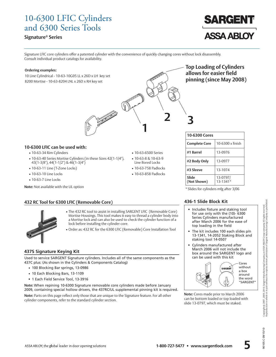## 10-6300 LFIC Cylinders and 6300 Series Tools

#### **Signature® Series**



Signature LFIC core cylinders offer a patented cylinder with the convenience of quickly changing cores without lock disassembly. Consult individual product catalogs for availability.

**CALL** 

 $\sqrt{\frac{2}{10}}$ 

**1**

• 10-63-6500 Series • 10-63-8 & 10-63-9 Line Bored Locks • 10-63-758 Padlocks • 10-63-858 Padlocks

**2 3**

#### **Ordering examples:**

10 Line Cylindrical - 10-63-10G05 LL x 26D x LH key set 8200 Mortise - 10-63-8204 LNL x 26D x RH key set

**Top Loading of Cylinders allows for easier field pinning (since May 2008)**

#### **10-6300 LFIC can be used with:**

- 10-63-34 Rim Cylinders
- 10-63-40 Series Mortise Cylinders (in these Sizes 42(1-1/4"), 43(1-3/8"), 44(1-1/2") & 46(1-3/4")
- 10-63-11 Line (T-Zone Locks)
- 10-63-10 Line Locks
- 10-63-7 Line Locks

**Note:** Not available with the UL option

#### **432 RC Tool for 6300 LFIC (Removable Core)**



- The 432 RC tool to assist in installing SARGENT LFIC (Removable Core) Mortise Housings. This tool makes it easy to thread a cylinder body into a Mortise lock and can also be used to check the cylinder function of a lock before installing the cylinder core.
- Order as: 432 RC for the 6300 LFIC (Removable) Core Installation Tool

#### **437S Signature Keying Kit**

Used to service SARGENT Signature cylinders. Includes all of the same components as the 437C plus: (As shown in the Cylinders & Components Catalog)

- 100 Blocking Bar springs, 13-0986
- 10 Each Blocking Bars, 13-1109
- 1 Each Field Service Tool, 13-3916

**Note:** When repining 10-6300 Signature removable core cylinders made before January 2009, containing special hollow drivers, the 437RC/UL supplemental pinning kit is required.

**Note:** Parts on this page reflect only those that are unique to the Signature feature. For all other cylinder components, refer to the standard cylinder section.

| 10-6300 Cores        |                      |  |  |
|----------------------|----------------------|--|--|
| <b>Complete Core</b> | 10-6300 x finish     |  |  |
| #1 Barrel            | 13-0976              |  |  |
| #2 Body Only         | 13-0977              |  |  |
| #3 Sleeve            | 13-1074              |  |  |
| Slide<br>(Not Shown) | 13-0797/<br>13-1341* |  |  |

\* Slides for cylinders mfg after 3/06

#### **436-1 Slide Block Kit**

- Includes fixture and staking tool for use only with the (10)- 6300 Series Cylinders manufactured after March 2006 for the ease of top loading in the field
- The kit includes 100 each slides p/n 13-1341, 14-2052 Staking Block and staking tool 14-0507
- Cylinders manufactured after March 2006 will not include the box around the SARGENT logo and can be used with this kit



**Note:** Cores made prior to March 2006 can be bottom loaded or top loaded with slide 13-0797, which must be staked.

01/21/60 D:50106



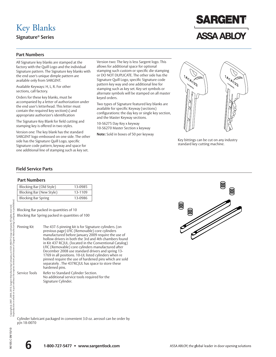## Key Blanks

**Signature® Series**

# **SARGENT ASSA ABLOY**

#### **Part Numbers**

All Signature key blanks are stamped at the factory with the Quill Logo and the individual Signature pattern. The Signature key blanks with the end user's unique dimple pattern are available only from SARGENT.

Available Keyways: H, L, R. For other sections, call factory.

Orders for these key blanks, must be accompanied by a letter of authorization under the end user's letterhead. This letter must contain the required key section(s) and appropriate authorizer's identification

The Signature Key Blank for field cutting and stamping key is offered in two styles.

Version one: The key blank has the standard SARGENT logo embossed on one side. The other side has the Signature Quill Logo, specific Signature code pattern, keyway and space for one additional line of stamping such as key set.

Version two: The key is less Sargent logo. This allows for additional space for optional stamping such custom or specific die stamping or DO NOT DUPLICATE. The other side has the Signature Quill Logo, specific Signature code pattern key way and one additional line for stamping such as key set. Key set symbols or alternate symbols will be stamped on all master keyed orders.

Two types of Signature featured key blanks are available for specific Keyway (sections) configurations: the day key or single key section, and the Master Keyway sections.

10-S6275 Day Key x keyway 10-S6270 Master Section x keyway

**Note:** Sold in boxes of 50 per keyway



Key bittings can be cut on any industry standard key cutting machine.

#### **Field Service Parts**

#### **Part Numbers**

| Blocking Bar (Old Style)   | 13-0985 |
|----------------------------|---------|
| Blocking Bar (New Style)   | 13-1109 |
| <b>Blocking Bar Spring</b> | 13-0986 |

Blocking Bar packed in quantities of 10

Blocking Bar Spring packed in quantities of 100

Signature Cylinder.

| Pinning Kit   | The 437-S pinning kit is for Signature cylinders. (on<br>previous page) LFIC (Removable) core cylinders<br>manufactured before January 2009 require the use of<br>hollow drivers in both the 3rd and 4th chambers found<br>in Kit 437 RC/UL. (located in the Conventional Catalog)<br>LFIC (Removable) core cylinders manufactured after<br>December 2008 use standard drivers and spring 13-<br>1769 in all positions. 10-UL listed cylinders when re<br>pinned require the use of hardened pins which are sold<br>separately. The 437RC/UL has space to store these<br>hardened pins. |
|---------------|-----------------------------------------------------------------------------------------------------------------------------------------------------------------------------------------------------------------------------------------------------------------------------------------------------------------------------------------------------------------------------------------------------------------------------------------------------------------------------------------------------------------------------------------------------------------------------------------|
| Service Tools | Refer to Standard Cylinder Section.<br>No additional service tools required for the                                                                                                                                                                                                                                                                                                                                                                                                                                                                                                     |

Cylinder lubricant packaged in convenient 3.0 oz. aerosol can be order by p/n 18-0070



ę.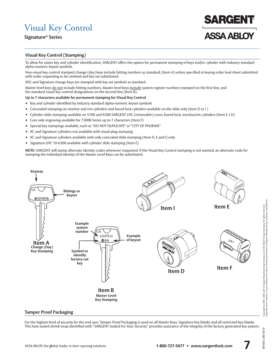## Visual Key Control

### **Signature® Series**

## ARGEN **ASSA ABLOT**

#### **Visual Key Control (Stamping)**

To allow for easier key and cylinder identification, SARGENT offers the option for permanent stamping of keys and/or cylinder with industry standard alpha-numeric keyset symbols.

Non-visual key control stamped change (day) keys include bitting numbers as standard, (Item A) unless specified in keying order lead sheet submitted with order requesting to be omitted and key set substituted.

SFIC and Signature change keys are stamped with key set symbols as standard.

Master level keys do not include bitting numbers. Master level keys include system register numbers stamped on the first line, and the standard visual key control designations on the second line (Item B).

#### **Up to 7 characters available for permanent stamping for Visual Key Control**

- Key and cylinder identified by industry standard alpha-numeric keyset symbols
- Concealed stamping on mortise and rim cylinders and bored lock cylinders available on the slide only (Item D or I )
- Cylinder-slide stamping available on 5100 and 6300 SARGENT LFIC (removable) cores, bored lock, mortise/rim cylinders (Item E, I D)
- Core side engraving available for 7300B Series up to 7 characters (Item F)
- Special key stampings available, such as "DO NOT DUPLICATE" or "CITY OF PHOENIX"
- XC and Signature cylinders not available with visual plug stamping
- XC and Signature cylinders available with only concealed slide stamping (Item D, E and I) only
- Signature LFIC 10-6300 available with cylinder slide stamping (Item E)

**NOTE:** SARGENT will stamp alternate identity codes whenever requested. If the Visual Key Control stamping is not wanted, an alternate code for stamping the individual identity of the Master Level Keys can be substituted.



#### **Tamper Proof Packaging**

For the highest level of security for the end user, Tamper Proof Packaging is used on all Master Keys, Signature key blanks and all restricted key blanks. This heat sealed shrink wrap identified with "SARGENT Sealed For Your Security" provides assurance of the integrity of the factory generated key system.

01/51/60 D:50106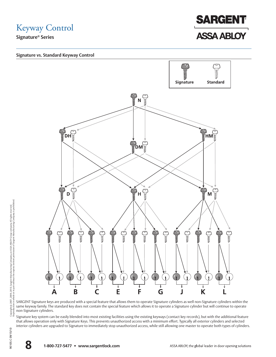Keyway Control





SARGENT Signature keys are produced with a special feature that allows them to operate Signature cylinders as well non-Signature cylinders within the same keyway family. The standard key does not contain the special feature which allows it to operate a Signature cylinder but will continue to operate non-Signature cylinders.

Signature key system can be easily blended into most existing facilities using the existing keyways (contact key records), but with the additional feature that allows operation only with Signature Keys. This prevents unauthorized access with a minimum effort. Typically all exterior cylinders and selected interior cylinders are upgraded to Signature to immediately stop unauthorized access, while still allowing one master to operate both types of cylinders.

90105:C 09/15/10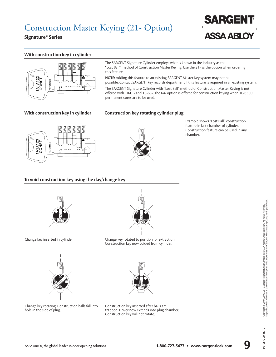

#### **With construction key in cylinder**



The SARGENT Signature Cylinder employs what is known in the industry as the "Lost Ball" method of Construction Master Keying. Use the 21- as the option when ordering this feature.

**NOTE:** Adding this feature to an existing SARGENT Master Key system may not be possible. Contact SARGENT key records department if this feature is required in an existing system.

The SARGENT Signature Cylinder with "Lost Ball" method of Construction Master Keying is not offered with 10-UL- and 10-63-. The 64- option is offered for construction keying when 10-6300 permanent cores are to be used.

#### **With construction key in cylinder Construction key rotating cylinder plug**



Example shows "Lost Ball" construction feature in last chamber of cylinder. Construction feature can be used in any chamber.

#### **To void construction key using the day/change key**



Change key inserted in cylinder.



Change key rotated to position for extraction. Construction key now voided from cylinder.





Construction key inserted after balls are trapped. Driver now extends into plug chamber. Construction key will not rotate.

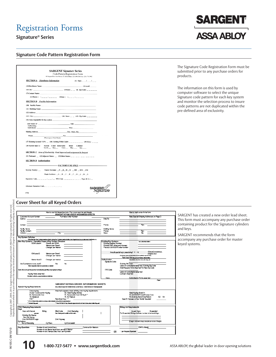## Registration Forms

**Signature® Series**

|          |                                                                                           | <b>SARGENT Signature Series</b>                                                                                                                                         |                                                                            |
|----------|-------------------------------------------------------------------------------------------|-------------------------------------------------------------------------------------------------------------------------------------------------------------------------|----------------------------------------------------------------------------|
|          | 100 Sate                                                                                  | Code Pattern Registration Form<br>nt Drive New Haven, CT. 00511 Phone (203) 498-5540 Fax. (203) 776-5992                                                                |                                                                            |
|          | <b>SECTION A</b> Distributor Information                                                  | (1) Date: $  /$ $  /$                                                                                                                                                   |                                                                            |
|          |                                                                                           |                                                                                                                                                                         |                                                                            |
|          | (2) Distributor Name:                                                                     | $(3)$ Acctif                                                                                                                                                            |                                                                            |
|          | (4) City:<br>(7) Contact Name:                                                            | (5)State: _ _ (6) Zip Code: _ _ _                                                                                                                                       |                                                                            |
|          |                                                                                           | (8) Phone: ( ) ____-_-__ (9)Fax: ( ) ___-_                                                                                                                              |                                                                            |
|          | <b>SECTION B</b> Facility Information                                                     |                                                                                                                                                                         |                                                                            |
|          | (10) Facility Name:                                                                       |                                                                                                                                                                         |                                                                            |
|          | (11) Building Name: _                                                                     |                                                                                                                                                                         |                                                                            |
|          | (12) Address:                                                                             |                                                                                                                                                                         |                                                                            |
|          | (13) City:                                                                                | (14) State: _ _ (15) Zip Code: _ _ _ _                                                                                                                                  |                                                                            |
|          | (16) Area responsible for key system _                                                    |                                                                                                                                                                         |                                                                            |
|          | and Names of                                                                              | $\_$ Title: $\_$                                                                                                                                                        |                                                                            |
|          | Authorizing<br><b>Individuals</b>                                                         | $\_$ Title: $\_$                                                                                                                                                        |                                                                            |
|          | <b>Mailing Address</b>                                                                    | City , State, Zip_                                                                                                                                                      |                                                                            |
|          | <b>Phone</b>                                                                              | Fax.                                                                                                                                                                    |                                                                            |
|          | (Please type or Print Clearly)                                                            |                                                                                                                                                                         |                                                                            |
|          | (17) Existing System? (Y/N) __ (18) Existing TMK Code# _                                  | $---$ (19) Kwy: $---$                                                                                                                                                   |                                                                            |
|          | (20) System Spec.'s:<br>Level_                                                            | System Const Removable<br>Hotel<br>Cylinder<br>Mky_<br>Key_<br>Core<br>Ots.                                                                                             |                                                                            |
|          |                                                                                           | <b>SECTION C</b> Area of Exclusivity Final Approval and assignment by Sargent                                                                                           |                                                                            |
|          | (21) National: _ (22)Adjacent States: _ (23)Other States: _                               |                                                                                                                                                                         |                                                                            |
|          |                                                                                           |                                                                                                                                                                         |                                                                            |
|          | <b>SECTION D Authorization</b>                                                            |                                                                                                                                                                         |                                                                            |
|          |                                                                                           | - FACTORY USE ONLY -                                                                                                                                                    |                                                                            |
|          | Keyway Family:                                                                            | Master Sections: _N _D_ H _M _DH _HM _DM                                                                                                                                |                                                                            |
|          |                                                                                           | Single Sections: _A _B _C _E _F _G _J _K _L                                                                                                                             |                                                                            |
|          |                                                                                           |                                                                                                                                                                         |                                                                            |
|          |                                                                                           |                                                                                                                                                                         | sargent/                                                                   |
|          | H756                                                                                      |                                                                                                                                                                         |                                                                            |
|          |                                                                                           | <b>Cover Sheet for all Keyed Orders</b>                                                                                                                                 |                                                                            |
|          |                                                                                           | Hawla use this interactive farm: Put cursar aver the red triangle                                                                                                       |                                                                            |
|          | Custamer Accaunt, Number                                                                  | SARGENT KEYING ORDER INFORMATION SHEETS<br>Pachase Order Namber                                                                                                         |                                                                            |
| Saltika: |                                                                                           |                                                                                                                                                                         |                                                                            |
| Contact: |                                                                                           |                                                                                                                                                                         |                                                                            |
|          | Facily Name:                                                                              |                                                                                                                                                                         |                                                                            |
| Address: | Facily Contact:                                                                           | Cly:                                                                                                                                                                    |                                                                            |
|          |                                                                                           |                                                                                                                                                                         | Signa/ure<br>Ship Ta:<br>Phone:<br><b>Building Nam</b><br>Phone:<br>State: |
|          | Key System Definition                                                                     | Also the New York Systems surface to the Contemption Systems surface to the later together build your systems of which we are a                                         |                                                                            |
|          | New Key Systems: Complete Scope of Key System Structure<br>GGM Level4<br>Gands perGGM     |                                                                                                                                                                         |                                                                            |
|          | <b>Vasters</b> per Grand                                                                  | Changes per klaster                                                                                                                                                     | Existing Key S<br>Exbûng Regi<br>Exbûng TMK<br>Previous SA                 |
|          |                                                                                           |                                                                                                                                                                         |                                                                            |
|          | GM Level3<br><b>Vasters per Grand</b>                                                     |                                                                                                                                                                         |                                                                            |
|          | Unster byel2                                                                              | Changes per master                                                                                                                                                      |                                                                            |
|          | Are Submasters to be used?                                                                | Na<br>Yes                                                                                                                                                               |                                                                            |
|          | Albuch zugrache zinni das naphrodos a m                                                   |                                                                                                                                                                         |                                                                            |
|          | iais: Donatuschis sedan toindeskapuntiks atphysici autikys i                              |                                                                                                                                                                         |                                                                            |
|          | Keying Notes attached<br>(Complex systems, unique considers, statistics)                  |                                                                                                                                                                         | Authorization<br>Shmtue (<br>V10 Code                                      |
|          |                                                                                           |                                                                                                                                                                         |                                                                            |
|          |                                                                                           |                                                                                                                                                                         |                                                                            |
|          | Special Keying Requirements:                                                              | SARGENT KEYING ORDER INFORMATION SHEETS<br>del un sinou l'exege fest vel selection lory system toyeu. Considérates une vénue seguente                                   |                                                                            |
|          | Cassteying                                                                                | Mached separate sheet defining crossteying requirements                                                                                                                 |                                                                            |
|          | 21-22 Construction Keying<br>63-Remayable Core                                            | .<br>51- Hatel Keying Makke<br>51- Remavable Core Old Style'''                                                                                                          | Kesa                                                                       |
|          | 10-Signature<br>V10'                                                                      |                                                                                                                                                                         |                                                                            |
|          | $^{\circ}$ 22, 52, Natural in the contribution according by where of<br>The fact Page and | The W.C. Feature<br>Restricted King: ***<br>Ford The State<br>miyasi qabixa iyo oʻpadad<br>"Past SAR DE M ( Key Flamede appared and E nd Use Author stand also Flagued) |                                                                            |
|          | VKC/Stamping Requirements                                                                 |                                                                                                                                                                         |                                                                            |
| Keys     | Keys with Keysel<br>Blthg                                                                 | <b>Blind Code</b><br>Onl Samphg<br>I<br>See Cabigua tractifical information                                                                                             | I                                                                          |

**SARGENT ASSA ABLOY** 

The Signature Code Registration Form must be submitted prior to any purchase orders for products.

The information on this form is used by computer software to select the unique Signature code pattern for each key system and monitor the selection process to insure code patterns are not duplicated within the pre-defined area of exclusivity.

#### **Cover Sheet for all Keyed Orders**

| Hawta use this interactive farm: Put cursonaventhe reditriangle<br>SARGENT KEYING ORDER INFORMATION SHEETS                        |                                                  | How to mark a box in the form                                   |
|-----------------------------------------------------------------------------------------------------------------------------------|--------------------------------------------------|-----------------------------------------------------------------|
| Castamer Account Namber<br>Puchase Order Number                                                                                   |                                                  | Nate Special Shipping Addresses on Page 3                       |
| Sabila: ______________                                                                                                            | Ship To:                                         |                                                                 |
|                                                                                                                                   |                                                  |                                                                 |
| Cartact:                                                                                                                          | Phone:                                           | Fax:                                                            |
|                                                                                                                                   |                                                  |                                                                 |
| Facilly Name:                                                                                                                     | Bubling Hame:                                    | स्त्रा                                                          |
| Facilly Contact:<br>$Cly$ :<br>Address:                                                                                           | Phone:<br>State:                                 | Zu:                                                             |
|                                                                                                                                   |                                                  |                                                                 |
| Key System Definition                                                                                                             |                                                  |                                                                 |
| All auditor (for Key Systems surface of the AntiopKey Systems surface behelver begets build young stemped viced builded and       |                                                  |                                                                 |
| New Key Systems: Complete Scope of Key System Structure<br>GGM Level4<br>Grands per GGM                                           | Existing Key Systems<br>Existing Register Number | (automation below)                                              |
| <b>Masters perGrand</b>                                                                                                           | Existing TMK biting and Keyvay:                  |                                                                 |
| Changes per klaster                                                                                                               | Previous SARGENT arder number                    |                                                                 |
|                                                                                                                                   |                                                  |                                                                 |
|                                                                                                                                   |                                                  | matudo románico.<br>Are all specialities speeckting? Y Y N      |
| GM Level3<br><b>Masters per Grand</b>                                                                                             |                                                  | ampare/kaz                                                      |
| Changes per master                                                                                                                |                                                  | if not passured by conduct declary decompositely any warrantsy. |
|                                                                                                                                   |                                                  | Field Spacified anywars a relately attenuately                  |
| Unster byel2<br>Changes per master                                                                                                | Autorization                                     | See adulted voluntary manuals democrat                          |
| Yes.<br>No.<br>Are Submasters to be used?                                                                                         | Shreture Code:                                   | Existing Pin Cade:                                              |
| Albuck corporate street does anythered on at reserved                                                                             |                                                  | Latter of Authorization attached. Existing Sig Code             |
|                                                                                                                                   |                                                  | InLial Request Farm Attached For New Sig Cade                   |
| layakin Bahajari pasifirma sahip dan moltos airlam borrodi. Sahaja                                                                | V10 Code                                         |                                                                 |
|                                                                                                                                   |                                                  | Letter of Authorization attached                                |
| Keying Nates attached                                                                                                             |                                                  | Contract Atlacted                                               |
| (Complex systems, unque considere, sistema)                                                                                       |                                                  |                                                                 |
|                                                                                                                                   | Kesa                                             | Authorization Forms attached                                    |
|                                                                                                                                   |                                                  | Page 1                                                          |
|                                                                                                                                   |                                                  |                                                                 |
| SARGENT KEYING ORDER INFORMATION SHEETS                                                                                           |                                                  |                                                                 |
| Special Keying Requirements:<br>del constructivo que l'est vol selectif en los y système de yea. Construire au seu se segue poder |                                                  |                                                                 |
| Attached seguidie sheet defining crassteying requirements.<br>Cassterha                                                           |                                                  |                                                                 |
| 21-22- Construction Keying<br>S0- Hatel Keying Matibe                                                                             |                                                  | Hatel Keying Bared In                                           |
| S1-Removable Core OB Style ***<br>63-Removable Core                                                                               |                                                  | 73. SARGENT Small Format, Core                                  |
| 10-Shrature<br>11-XC Festure                                                                                                      |                                                  | 73 Existing Best/Arrow Fabori<br>$02 - 04$                      |
| Mto <sup>re</sup><br>Restricted Key: ""                                                                                           |                                                  | Specific Keway or Key Family Reguled                            |
| * 22-52-yildam, kubar uzand on muziking ziyatlarna silanaiy zail ugʻitafazi iygan oʻganludi.                                      |                                                  |                                                                 |
| <sup>-</sup> Derivati Famuusti<br>"PaySARISM (Ney Parado appoint and Sed Univ.Administration Collection and                       |                                                  |                                                                 |
|                                                                                                                                   |                                                  |                                                                 |
| VKC/Stamping Requirements<br>Keys                                                                                                 |                                                  | <b>Bitting List Requirements</b>                                |
| Kers with Kersel.<br>Bltha<br><b>Bind Code</b><br>Oml Stampho                                                                     |                                                  | Issued Keys<br>Exampled                                         |
| See Cabbase brackling/inbreaker<br>armadad.                                                                                       |                                                  | For Expanded Bitings indicate number of extra bitings:          |
| Existing Die Stamp:                                                                                                               |                                                  |                                                                 |
| Nav Db Stamp:                                                                                                                     |                                                  |                                                                 |
|                                                                                                                                   |                                                  |                                                                 |
| Oml SARGENT Loop                                                                                                                  |                                                  | Lage volumes may require an extra charge)                       |
| Oml Keyvey<br>Cylinders                                                                                                           |                                                  |                                                                 |
| Cyl Face<br>Na Cyl Stampha<br>CvIConcepted                                                                                        |                                                  |                                                                 |
|                                                                                                                                   |                                                  |                                                                 |
| Number of last Cantral Keys<br>Construction Masters                                                                               |                                                  | EMK's (Hotel)                                                   |
| Key Quantities<br>Number of out Master layel Keys percach Master<br>Number of out Change (Day) heys per Cylinder.                 | OR                                               | per Keyset Symbol:                                              |

SARGENT has created a new order lead sheet. This form must accompany any purchase order containing product for the Signature cylinders and keys.

SARGENT recommends that the form accompany any purchase order for master keyed systems.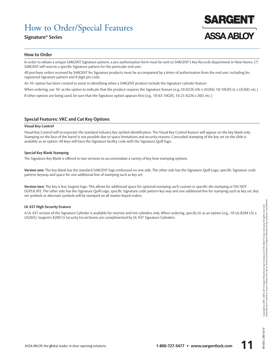## How to Order/Special Features

#### **Signature® Series**



#### **How to Order**

In order to obtain a unique SARGENT Signature pattern, a pre-authorization form must be sent to SARGENT's Key Records department in New Haven, CT. SARGENT will reserve a specific Signature pattern for the particular end user.

All purchase orders received by SARGENT for Signature products must be accompanied by a letter of authorization from the end user, including his registered Signature pattern and 8 digit pin code.

An 10- option has been created to assist in identifying when a SARGENT product include the Signature cylinder feature.

When ordering, use 10- as the option to indicate that the product requires the Signature feature (e.g., 10-8226 LNL x US26D, 10-10G05 LL x US26D, etc.)

If other options are being used, be sure that the Signature option appears first (e.g., 10-63-10G05, 10-21-8226 x 26D, etc.)

#### **Special Features: VKC and Cut Key Options**

#### **Visual Key Control**

Visual Key Control will incorporate the standard industry key symbol identification. The Visual Key Control feature will appear on the key blank only. Stamping on the face of the barrel is not possible due to space limitations and security reasons. Concealed stamping of the key set on the slide is available as an option. All keys will have the Signature facility code with the Signature Quill logo.

#### **Special Key Blank Stamping**

The Signature Key Blank is offered in two versions to accommodate a variety of key bow stamping options.

**Version one:** The key blank has the standard SARGENT logo embossed on one side. The other side has the Signature Quill Logo, specific Signature code pattern, keyway and space for one additional line of stamping such as key set.

**Version two:** The key is less Sargent logo. This allows for additional space for optional stamping such custom or specific die stamping or DO NOT DUPLICATE. The other side has the Signature Quill Logo, specific Signature code pattern key way and one additional line for stamping such as key set. Key set symbols or alternate symbols will be stamped on all master keyed orders.

#### **UL 437 High Security Feature**

A UL 437 version of the Signature Cylinder is available for mortise and rim cylinders only. When ordering, specify UL as an option (e.g., 10-UL-8204 LSL x US26D). Sargent's 8200 LS Security Escutcheons are complimented by UL 437 Signature Cylinders.

0105:C09/15/10